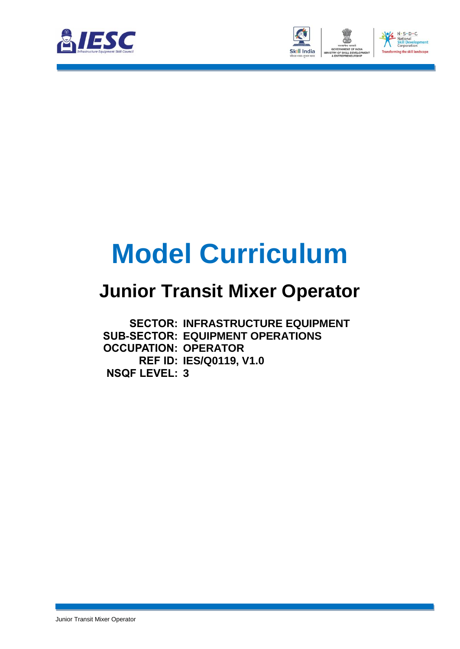



# **Model Curriculum**

### **Junior Transit Mixer Operator**

**SECTOR: INFRASTRUCTURE EQUIPMENT SUB-SECTOR: EQUIPMENT OPERATIONS OCCUPATION: OPERATOR REF ID: IES/Q0119, V1.0 NSQF LEVEL: 3**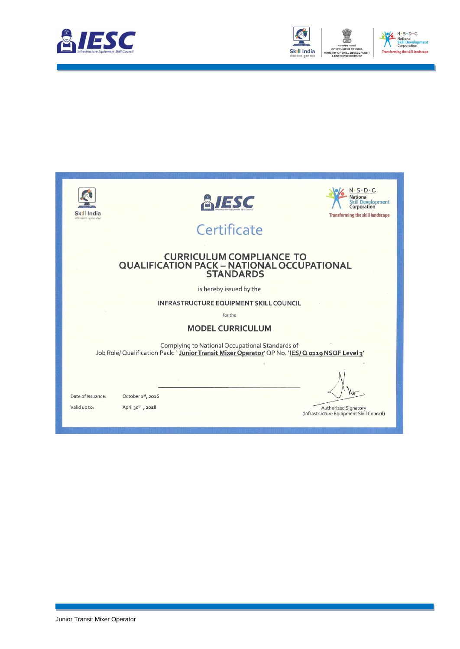



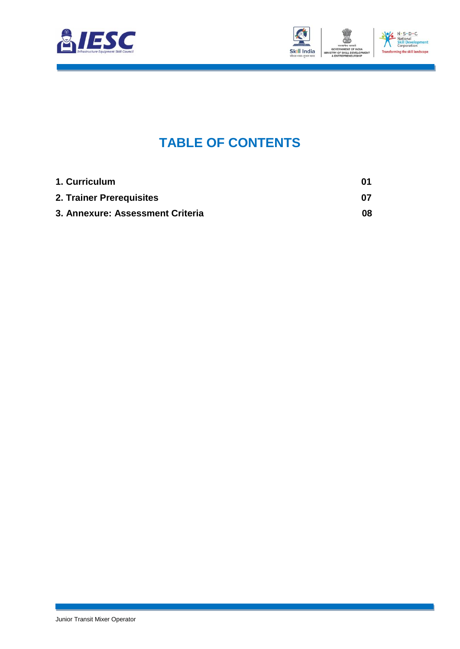



### **TABLE OF CONTENTS**

<span id="page-2-2"></span><span id="page-2-1"></span><span id="page-2-0"></span>

| 1. Curriculum                    | 01  |
|----------------------------------|-----|
| 2. Trainer Prerequisites         | 07  |
| 3. Annexure: Assessment Criteria | 08. |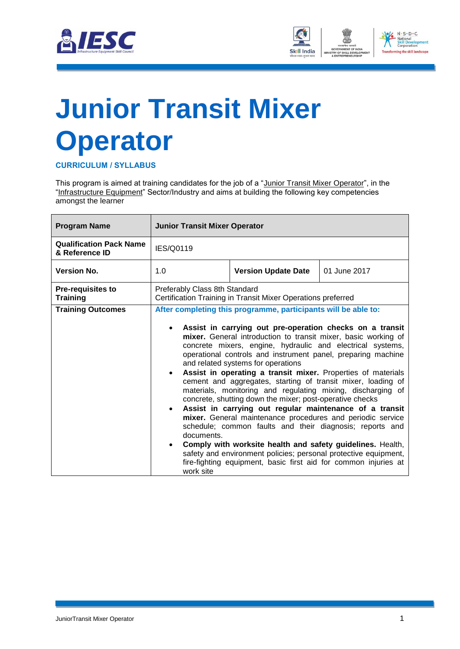



## <span id="page-3-0"></span>**[Junior Transit Mixer](#page-2-0)  [Operator](#page-2-0)**

**CURRICULUM / SYLLABUS**

This program is aimed at training candidates for the job of a "Junior Transit Mixer Operator", in the "Infrastructure Equipment" Sector/Industry and aims at building the following key competencies amongst the learner

| <b>Program Name</b>                              | <b>Junior Transit Mixer Operator</b>                                                          |                                                                                                                                                                                                                                                                                                                                                                                                                                                                                                                                                                                                                                                                                                                                                                                                                                                                                                                                                                                                                      |  |  |  |
|--------------------------------------------------|-----------------------------------------------------------------------------------------------|----------------------------------------------------------------------------------------------------------------------------------------------------------------------------------------------------------------------------------------------------------------------------------------------------------------------------------------------------------------------------------------------------------------------------------------------------------------------------------------------------------------------------------------------------------------------------------------------------------------------------------------------------------------------------------------------------------------------------------------------------------------------------------------------------------------------------------------------------------------------------------------------------------------------------------------------------------------------------------------------------------------------|--|--|--|
| <b>Qualification Pack Name</b><br>& Reference ID | <b>IES/Q0119</b>                                                                              |                                                                                                                                                                                                                                                                                                                                                                                                                                                                                                                                                                                                                                                                                                                                                                                                                                                                                                                                                                                                                      |  |  |  |
| <b>Version No.</b>                               | 1.0                                                                                           | 01 June 2017<br><b>Version Update Date</b>                                                                                                                                                                                                                                                                                                                                                                                                                                                                                                                                                                                                                                                                                                                                                                                                                                                                                                                                                                           |  |  |  |
| <b>Pre-requisites to</b><br><b>Training</b>      | Preferably Class 8th Standard<br>Certification Training in Transit Mixer Operations preferred |                                                                                                                                                                                                                                                                                                                                                                                                                                                                                                                                                                                                                                                                                                                                                                                                                                                                                                                                                                                                                      |  |  |  |
| <b>Training Outcomes</b>                         | $\bullet$<br>$\bullet$<br>documents.<br>work site                                             | After completing this programme, participants will be able to:<br>Assist in carrying out pre-operation checks on a transit<br>mixer. General introduction to transit mixer, basic working of<br>concrete mixers, engine, hydraulic and electrical systems,<br>operational controls and instrument panel, preparing machine<br>and related systems for operations<br>Assist in operating a transit mixer. Properties of materials<br>cement and aggregates, starting of transit mixer, loading of<br>materials, monitoring and regulating mixing, discharging of<br>concrete, shutting down the mixer; post-operative checks<br>Assist in carrying out regular maintenance of a transit<br>mixer. General maintenance procedures and periodic service<br>schedule; common faults and their diagnosis; reports and<br>Comply with worksite health and safety guidelines. Health,<br>safety and environment policies; personal protective equipment,<br>fire-fighting equipment, basic first aid for common injuries at |  |  |  |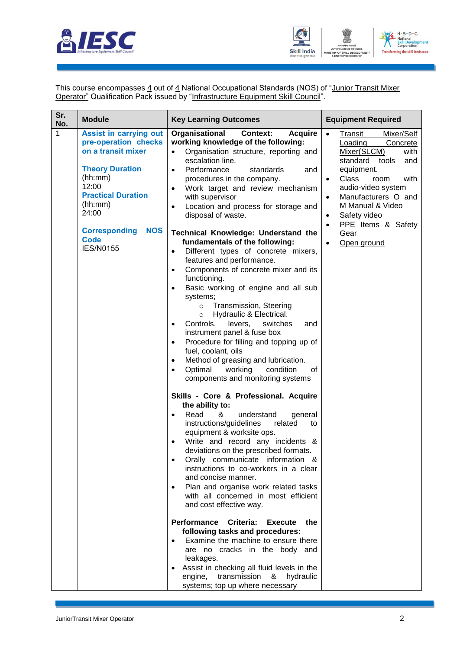



This course encompasses  $\underline{4}$  out of  $\underline{4}$  National Occupational Standards (NOS) of "<u>Junior Transit Mixer</u> **Operator**" Qualification Pack issued by "Infrastructure Equipment Skill Council".

| Sr.<br><b>Module</b><br><b>Key Learning Outcomes</b>                                                                                                                                                                                                                                                                                                                                                                                                                                                                                                                                                                                                                                                                                                                                                                                                                                                                                                                                                                                                                                                                                                                                                                                                                                                                                                                                                                                                                                                                                                                                                                                                                                                                                                                                                                                                                                                                                                                                                                                                                                                                                                                                                                                 | <b>Equipment Required</b>                                                                                                                                                                                                                                                |
|--------------------------------------------------------------------------------------------------------------------------------------------------------------------------------------------------------------------------------------------------------------------------------------------------------------------------------------------------------------------------------------------------------------------------------------------------------------------------------------------------------------------------------------------------------------------------------------------------------------------------------------------------------------------------------------------------------------------------------------------------------------------------------------------------------------------------------------------------------------------------------------------------------------------------------------------------------------------------------------------------------------------------------------------------------------------------------------------------------------------------------------------------------------------------------------------------------------------------------------------------------------------------------------------------------------------------------------------------------------------------------------------------------------------------------------------------------------------------------------------------------------------------------------------------------------------------------------------------------------------------------------------------------------------------------------------------------------------------------------------------------------------------------------------------------------------------------------------------------------------------------------------------------------------------------------------------------------------------------------------------------------------------------------------------------------------------------------------------------------------------------------------------------------------------------------------------------------------------------------|--------------------------------------------------------------------------------------------------------------------------------------------------------------------------------------------------------------------------------------------------------------------------|
| No.<br>1<br><b>Acquire</b><br><b>Assist in carrying out</b><br>Organisational<br><b>Context:</b><br>$\bullet$<br>pre-operation checks<br>working knowledge of the following:<br>on a transit mixer<br>Organisation structure, reporting and<br>$\bullet$<br>escalation line.<br><b>Theory Duration</b><br>Performance<br>standards<br>and<br>$\bullet$<br>(hh:mm)<br>procedures in the company.<br>12:00<br>Work target and review mechanism<br>$\bullet$<br><b>Practical Duration</b><br>with supervisor<br>(hh:mm)<br>Location and process for storage and<br>$\bullet$<br>24:00<br>disposal of waste.<br>$\bullet$<br><b>Corresponding</b><br><b>NOS</b><br><b>Technical Knowledge: Understand the</b><br><b>Code</b><br>fundamentals of the following:<br>$\bullet$<br><b>IES/N0155</b><br>Different types of concrete mixers,<br>$\bullet$<br>features and performance.<br>Components of concrete mixer and its<br>$\bullet$<br>functioning.<br>Basic working of engine and all sub<br>$\bullet$<br>systems;<br>Transmission, Steering<br>$\circ$<br>Hydraulic & Electrical.<br>$\circ$<br>switches<br>Controls,<br>levers,<br>and<br>$\bullet$<br>instrument panel & fuse box<br>Procedure for filling and topping up of<br>$\bullet$<br>fuel, coolant, oils<br>Method of greasing and lubrication.<br>$\bullet$<br>Optimal<br>working<br>condition<br>οf<br>$\bullet$<br>components and monitoring systems<br>Skills - Core & Professional. Acquire<br>the ability to:<br>Read<br>&<br>understand<br>general<br>$\bullet$<br>instructions/guidelines<br>related<br>to<br>equipment & worksite ops.<br>Write and record any incidents &<br>deviations on the prescribed formats.<br>Orally communicate information &<br>instructions to co-workers in a clear<br>and concise manner.<br>Plan and organise work related tasks<br>with all concerned in most efficient<br>and cost effective way.<br><b>Performance</b><br>Criteria:<br><b>Execute</b><br>the<br>following tasks and procedures:<br>Examine the machine to ensure there<br>are no cracks in the body and<br>leakages.<br>Assist in checking all fluid levels in the<br>$\bullet$<br>transmission<br>engine,<br>&<br>hydraulic<br>systems; top up where necessary | Transit<br>Mixer/Self<br>Loading<br>Concrete<br>Mixer(SLCM)<br>with<br>standard tools<br>and<br>equipment.<br><b>Class</b><br>with<br>room<br>audio-video system<br>Manufacturers O and<br>M Manual & Video<br>Safety video<br>PPE Items & Safety<br>Gear<br>Open ground |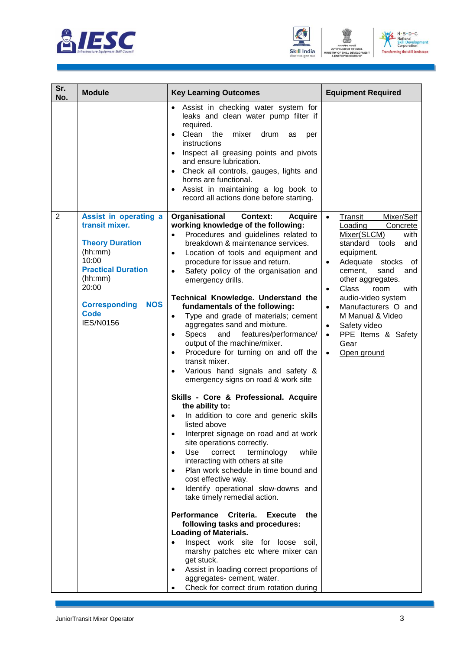





| Sr.<br>No.     | <b>Module</b>                                                                                                                                                                          | <b>Equipment Required</b><br><b>Key Learning Outcomes</b>                                                                                                                                                                                                                                                                                                                                                                                                                                                                                                                                                                                                                                                                                                                                                                                                                                                                                                                                                                                                                                                                                                                                                                                                                                                                                                                                                                                                                                                                                            |                                                                                                                                                                                                                                                                                                                                                                                                          |
|----------------|----------------------------------------------------------------------------------------------------------------------------------------------------------------------------------------|------------------------------------------------------------------------------------------------------------------------------------------------------------------------------------------------------------------------------------------------------------------------------------------------------------------------------------------------------------------------------------------------------------------------------------------------------------------------------------------------------------------------------------------------------------------------------------------------------------------------------------------------------------------------------------------------------------------------------------------------------------------------------------------------------------------------------------------------------------------------------------------------------------------------------------------------------------------------------------------------------------------------------------------------------------------------------------------------------------------------------------------------------------------------------------------------------------------------------------------------------------------------------------------------------------------------------------------------------------------------------------------------------------------------------------------------------------------------------------------------------------------------------------------------------|----------------------------------------------------------------------------------------------------------------------------------------------------------------------------------------------------------------------------------------------------------------------------------------------------------------------------------------------------------------------------------------------------------|
| $\overline{2}$ | Assist in operating a                                                                                                                                                                  | Assist in checking water system for<br>leaks and clean water pump filter if<br>required.<br>Clean<br>the<br>mixer<br>drum<br>$\bullet$<br>as<br>per<br>instructions<br>Inspect all greasing points and pivots<br>$\bullet$<br>and ensure lubrication.<br>Check all controls, gauges, lights and<br>$\bullet$<br>horns are functional.<br>Assist in maintaining a log book to<br>$\bullet$<br>record all actions done before starting.<br>Organisational<br><b>Context:</b><br><b>Acquire</b>                                                                                                                                                                                                                                                                                                                                                                                                                                                                                                                                                                                                                                                                                                                                                                                                                                                                                                                                                                                                                                                         | Transit<br>Mixer/Self<br>$\bullet$                                                                                                                                                                                                                                                                                                                                                                       |
|                | transit mixer.<br><b>Theory Duration</b><br>(hh:mm)<br>10:00<br><b>Practical Duration</b><br>(hh:mm)<br>20:00<br><b>Corresponding</b><br><b>NOS</b><br><b>Code</b><br><b>IES/N0156</b> | working knowledge of the following:<br>Procedures and guidelines related to<br>breakdown & maintenance services.<br>Location of tools and equipment and<br>$\bullet$<br>procedure for issue and return.<br>Safety policy of the organisation and<br>$\bullet$<br>emergency drills.<br>Technical Knowledge. Understand the<br>fundamentals of the following:<br>Type and grade of materials; cement<br>$\bullet$<br>aggregates sand and mixture.<br><b>Specs</b><br>and<br>features/performance/<br>$\bullet$<br>output of the machine/mixer.<br>Procedure for turning on and off the<br>$\bullet$<br>transit mixer.<br>Various hand signals and safety &<br>$\bullet$<br>emergency signs on road & work site<br>Skills - Core & Professional. Acquire<br>the ability to:<br>In addition to core and generic skills<br>listed above<br>Interpret signage on road and at work<br>٠<br>site operations correctly.<br>Use<br>correct<br>terminology<br>while<br>$\bullet$<br>interacting with others at site<br>Plan work schedule in time bound and<br>$\bullet$<br>cost effective way.<br>Identify operational slow-downs and<br>$\bullet$<br>take timely remedial action.<br>Performance<br>Criteria.<br><b>Execute</b><br>the<br>following tasks and procedures:<br><b>Loading of Materials.</b><br>Inspect work site for loose soil,<br>$\bullet$<br>marshy patches etc where mixer can<br>get stuck.<br>Assist in loading correct proportions of<br>$\bullet$<br>aggregates- cement, water.<br>Check for correct drum rotation during<br>$\bullet$ | Loading<br>Concrete<br>Mixer(SLCM)<br>with<br>standard<br>tools<br>and<br>equipment.<br>Adequate stocks<br>of<br>$\bullet$<br>cement,<br>sand<br>and<br>other aggregates.<br><b>Class</b><br>room<br>with<br>$\bullet$<br>audio-video system<br>Manufacturers O and<br>$\bullet$<br>M Manual & Video<br>Safety video<br>$\bullet$<br>PPE Items & Safety<br>$\bullet$<br>Gear<br>Open ground<br>$\bullet$ |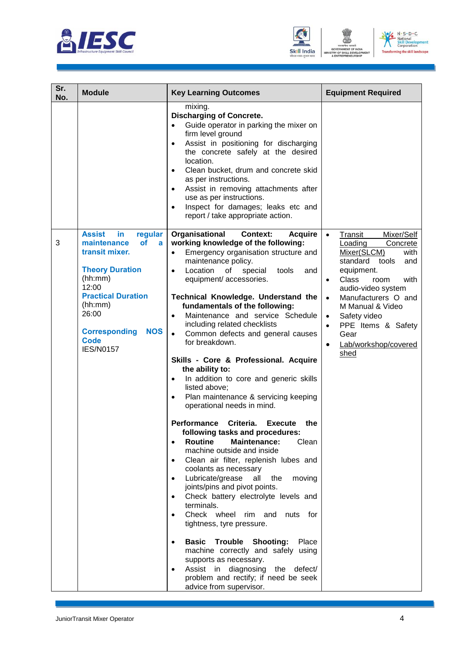





| Sr.<br>No. | <b>Module</b>                                                                                                                                                                                                                                      | <b>Key Learning Outcomes</b>                                                                                                                                                                                                                                                                                                                                                                                                                                                                                                                                                                                                                                                                                                                                                                                                                                                                                                                                                                                                                                                                                                                                                                                                                                                                                                                                                                              | <b>Equipment Required</b>                                                                                                                                                                                                                                                                                                              |  |
|------------|----------------------------------------------------------------------------------------------------------------------------------------------------------------------------------------------------------------------------------------------------|-----------------------------------------------------------------------------------------------------------------------------------------------------------------------------------------------------------------------------------------------------------------------------------------------------------------------------------------------------------------------------------------------------------------------------------------------------------------------------------------------------------------------------------------------------------------------------------------------------------------------------------------------------------------------------------------------------------------------------------------------------------------------------------------------------------------------------------------------------------------------------------------------------------------------------------------------------------------------------------------------------------------------------------------------------------------------------------------------------------------------------------------------------------------------------------------------------------------------------------------------------------------------------------------------------------------------------------------------------------------------------------------------------------|----------------------------------------------------------------------------------------------------------------------------------------------------------------------------------------------------------------------------------------------------------------------------------------------------------------------------------------|--|
|            |                                                                                                                                                                                                                                                    | mixing.<br><b>Discharging of Concrete.</b><br>Guide operator in parking the mixer on<br>$\bullet$<br>firm level ground<br>Assist in positioning for discharging<br>$\bullet$<br>the concrete safely at the desired<br>location.<br>Clean bucket, drum and concrete skid<br>$\bullet$<br>as per instructions.<br>Assist in removing attachments after<br>$\bullet$<br>use as per instructions.<br>Inspect for damages; leaks etc and<br>$\bullet$<br>report / take appropriate action.                                                                                                                                                                                                                                                                                                                                                                                                                                                                                                                                                                                                                                                                                                                                                                                                                                                                                                                     |                                                                                                                                                                                                                                                                                                                                        |  |
| 3          | <b>Assist</b><br>in<br>regular<br>of<br>maintenance<br>a<br>transit mixer.<br><b>Theory Duration</b><br>(hh:mm)<br>12:00<br><b>Practical Duration</b><br>(hh:mm)<br>26:00<br><b>Corresponding</b><br><b>NOS</b><br><b>Code</b><br><b>IES/N0157</b> | Organisational<br><b>Context:</b><br><b>Acquire</b><br>working knowledge of the following:<br>Emergency organisation structure and<br>$\bullet$<br>maintenance policy.<br>Location<br>of<br>special<br>tools<br>and<br>$\bullet$<br>equipment/ accessories.<br>Technical Knowledge. Understand the<br>fundamentals of the following:<br>Maintenance and service Schedule<br>including related checklists<br>$\bullet$<br>Common defects and general causes<br>for breakdown.<br>Skills - Core & Professional. Acquire<br>the ability to:<br>In addition to core and generic skills<br>$\bullet$<br>listed above;<br>Plan maintenance & servicing keeping<br>$\bullet$<br>operational needs in mind.<br>Criteria.<br>Performance<br><b>Execute</b><br>the<br>following tasks and procedures:<br><b>Routine</b><br><b>Maintenance:</b><br>Clean<br>$\bullet$<br>machine outside and inside<br>Clean air filter, replenish lubes and<br>$\bullet$<br>coolants as necessary<br>Lubricate/grease<br>the<br>all<br>moving<br>$\bullet$<br>joints/pins and pivot points.<br>Check battery electrolyte levels and<br>terminals.<br>Check wheel rim and<br>nuts for<br>tightness, tyre pressure.<br><b>Basic Trouble Shooting:</b><br>Place<br>machine correctly and safely using<br>supports as necessary.<br>Assist in diagnosing the defect/<br>problem and rectify; if need be seek<br>advice from supervisor. | Transit<br>Mixer/Self<br>$\bullet$<br>Loading<br>Concrete<br>with<br>Mixer(SLCM)<br>standard tools<br>and<br>equipment.<br>Class<br>with<br>room<br>audio-video system<br>Manufacturers O and<br>$\bullet$<br>M Manual & Video<br>Safety video<br>$\bullet$<br>PPE Items & Safety<br>$\bullet$<br>Gear<br>Lab/workshop/covered<br>shed |  |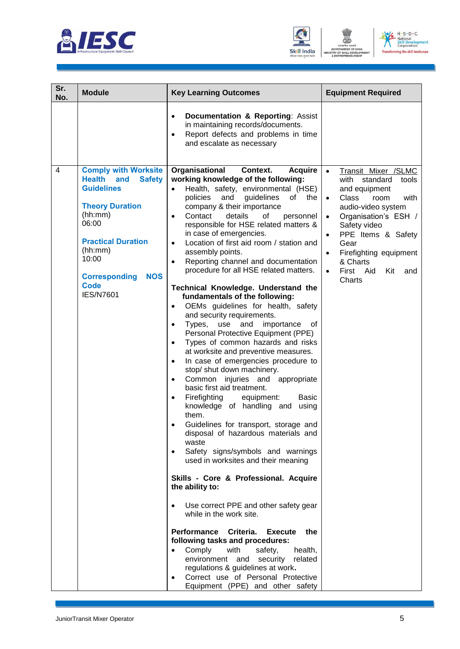





| Sr.<br>No.     | <b>Module</b>                                                                                                                                                                                                                                                     | <b>Key Learning Outcomes</b>                                                                                                                                                                                                                                                                                                                                                                                                                                                                                                                                                                                                                                                                                                                                                                                                                                                                                                                                                                                                                                                                                                                                                                                                                                                                                                                                                                                                                                                                                                                                                                                                                                                                                                                                                                                         | <b>Equipment Required</b>                                                                                                                                                                                                                                                                                                    |
|----------------|-------------------------------------------------------------------------------------------------------------------------------------------------------------------------------------------------------------------------------------------------------------------|----------------------------------------------------------------------------------------------------------------------------------------------------------------------------------------------------------------------------------------------------------------------------------------------------------------------------------------------------------------------------------------------------------------------------------------------------------------------------------------------------------------------------------------------------------------------------------------------------------------------------------------------------------------------------------------------------------------------------------------------------------------------------------------------------------------------------------------------------------------------------------------------------------------------------------------------------------------------------------------------------------------------------------------------------------------------------------------------------------------------------------------------------------------------------------------------------------------------------------------------------------------------------------------------------------------------------------------------------------------------------------------------------------------------------------------------------------------------------------------------------------------------------------------------------------------------------------------------------------------------------------------------------------------------------------------------------------------------------------------------------------------------------------------------------------------------|------------------------------------------------------------------------------------------------------------------------------------------------------------------------------------------------------------------------------------------------------------------------------------------------------------------------------|
|                |                                                                                                                                                                                                                                                                   | Documentation & Reporting: Assist<br>$\bullet$<br>in maintaining records/documents.<br>Report defects and problems in time<br>$\bullet$<br>and escalate as necessary                                                                                                                                                                                                                                                                                                                                                                                                                                                                                                                                                                                                                                                                                                                                                                                                                                                                                                                                                                                                                                                                                                                                                                                                                                                                                                                                                                                                                                                                                                                                                                                                                                                 |                                                                                                                                                                                                                                                                                                                              |
| $\overline{4}$ | <b>Comply with Worksite</b><br><b>Health</b><br><b>Safety</b><br>and<br><b>Guidelines</b><br><b>Theory Duration</b><br>(hh:mm)<br>06:00<br><b>Practical Duration</b><br>(hh:mm)<br>10:00<br><b>NOS</b><br><b>Corresponding</b><br><b>Code</b><br><b>IES/N7601</b> | Organisational<br>Context.<br><b>Acquire</b><br>working knowledge of the following:<br>Health, safety, environmental (HSE)<br>$\bullet$<br>guidelines<br>policies<br>and<br>of l<br>the<br>company & their importance<br>Contact<br>details<br>of<br>personnel<br>$\bullet$<br>responsible for HSE related matters &<br>in case of emergencies.<br>Location of first aid room / station and<br>$\bullet$<br>assembly points.<br>Reporting channel and documentation<br>$\bullet$<br>procedure for all HSE related matters.<br>Technical Knowledge. Understand the<br>fundamentals of the following:<br>OEMs guidelines for health, safety<br>$\bullet$<br>and security requirements.<br>Types,<br>and<br>importance<br>use<br>οf<br>$\bullet$<br>Personal Protective Equipment (PPE)<br>Types of common hazards and risks<br>$\bullet$<br>at worksite and preventive measures.<br>In case of emergencies procedure to<br>$\bullet$<br>stop/ shut down machinery.<br>Common<br>injuries and appropriate<br>$\bullet$<br>basic first aid treatment.<br>Firefighting<br><b>Basic</b><br>equipment:<br>$\bullet$<br>knowledge of handling and<br>using<br>them.<br>Guidelines for transport, storage and<br>disposal of hazardous materials and<br>waste<br>Safety signs/symbols and warnings<br>$\bullet$<br>used in worksites and their meaning<br>Skills - Core & Professional. Acquire<br>the ability to:<br>Use correct PPE and other safety gear<br>$\bullet$<br>while in the work site.<br><b>Performance</b><br>Criteria.<br><b>Execute</b><br>the<br>following tasks and procedures:<br>Comply<br>with<br>safety,<br>health,<br>$\bullet$<br>environment and<br>security<br>related<br>regulations & guidelines at work.<br>Correct use of Personal Protective<br>$\bullet$<br>Equipment (PPE) and other safety | Transit Mixer /SLMC<br>$\bullet$<br>with<br>standard<br>tools<br>and equipment<br><b>Class</b><br>room<br>with<br>$\bullet$<br>audio-video system<br>Organisation's ESH /<br>$\bullet$<br>Safety video<br>PPE Items & Safety<br>$\bullet$<br>Gear<br>Firefighting equipment<br>& Charts<br>First Aid<br>Kit<br>and<br>Charts |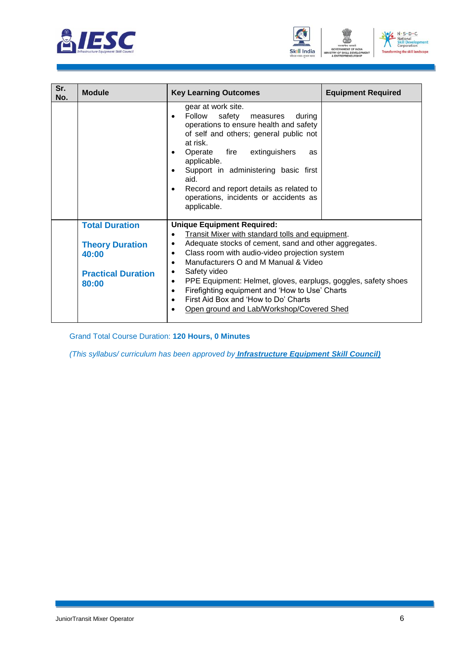





| Sr.<br>No. | <b>Module</b>                                                                                  | <b>Key Learning Outcomes</b>                                                                                                                                                                                                                                                                                                                                                                                                                                                                                                | <b>Equipment Required</b> |
|------------|------------------------------------------------------------------------------------------------|-----------------------------------------------------------------------------------------------------------------------------------------------------------------------------------------------------------------------------------------------------------------------------------------------------------------------------------------------------------------------------------------------------------------------------------------------------------------------------------------------------------------------------|---------------------------|
|            |                                                                                                | gear at work site.<br>Follow safety measures during<br>$\bullet$<br>operations to ensure health and safety<br>of self and others; general public not<br>at risk.<br>Operate<br>fire extinguishers<br>as<br>$\bullet$<br>applicable.<br>Support in administering basic first<br>$\bullet$<br>aid.<br>Record and report details as related to<br>$\bullet$<br>operations, incidents or accidents as<br>applicable.                                                                                                            |                           |
|            | <b>Total Duration</b><br><b>Theory Duration</b><br>40:00<br><b>Practical Duration</b><br>80:00 | <b>Unique Equipment Required:</b><br>Transit Mixer with standard tolls and equipment.<br>Adequate stocks of cement, sand and other aggregates.<br>Class room with audio-video projection system<br>٠<br>Manufacturers O and M Manual & Video<br>$\bullet$<br>Safety video<br>٠<br>PPE Equipment: Helmet, gloves, earplugs, goggles, safety shoes<br>٠<br>Firefighting equipment and 'How to Use' Charts<br>٠<br>First Aid Box and 'How to Do' Charts<br>$\bullet$<br>Open ground and Lab/Workshop/Covered Shed<br>$\bullet$ |                           |

Grand Total Course Duration: **120 Hours, 0 Minutes**

*(This syllabus/ curriculum has been approved by Infrastructure Equipment Skill Council)*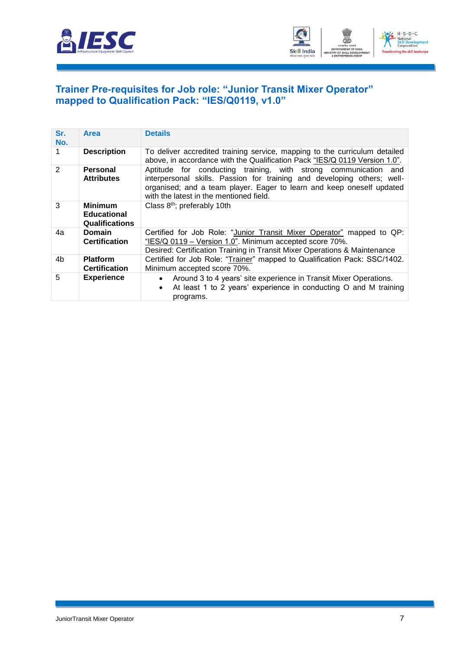



#### <span id="page-9-0"></span>**[Trainer Pre-requisites for Job role: "Junior Transit Mixer Operator"](#page-2-1)  [mapped to Qualification Pack: "IES/Q0119, v1.0"](#page-2-1)**

| Sr.<br>No.    | Area                                                          | <b>Details</b>                                                                                                                                                                                                                                                 |
|---------------|---------------------------------------------------------------|----------------------------------------------------------------------------------------------------------------------------------------------------------------------------------------------------------------------------------------------------------------|
| 1.            | <b>Description</b>                                            | To deliver accredited training service, mapping to the curriculum detailed<br>above, in accordance with the Qualification Pack "IES/Q 0119 Version 1.0".                                                                                                       |
| $\mathcal{P}$ | Personal<br><b>Attributes</b>                                 | Aptitude for conducting training, with strong communication and<br>interpersonal skills. Passion for training and developing others; well-<br>organised; and a team player. Eager to learn and keep oneself updated<br>with the latest in the mentioned field. |
| 3             | <b>Minimum</b><br><b>Educational</b><br><b>Qualifications</b> | Class 8 <sup>th</sup> ; preferably 10th                                                                                                                                                                                                                        |
| 4a            | <b>Domain</b><br><b>Certification</b>                         | Certified for Job Role: "Junior Transit Mixer Operator" mapped to QP:<br>"IES/Q 0119 - Version 1.0". Minimum accepted score 70%.<br>Desired: Certification Training in Transit Mixer Operations & Maintenance                                                  |
| 4b            | <b>Platform</b><br><b>Certification</b>                       | Certified for Job Role: "Trainer" mapped to Qualification Pack: SSC/1402.<br>Minimum accepted score 70%.                                                                                                                                                       |
| 5             | <b>Experience</b>                                             | Around 3 to 4 years' site experience in Transit Mixer Operations.<br>At least 1 to 2 years' experience in conducting O and M training<br>programs.                                                                                                             |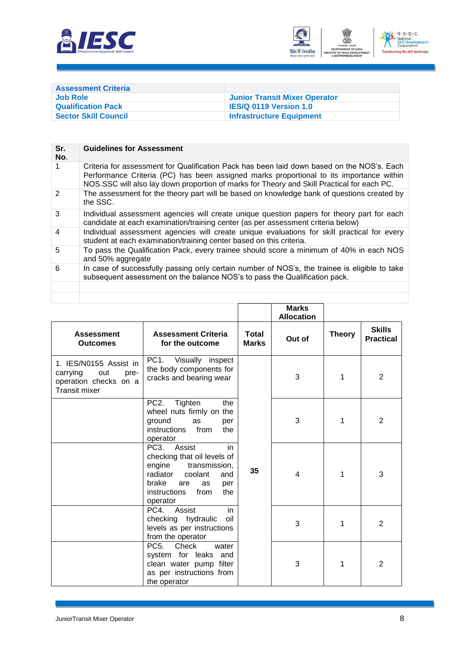



<span id="page-10-0"></span>

| <b>Assessment Criteria</b>  |                                      |
|-----------------------------|--------------------------------------|
| Job Role                    | <b>Junior Transit Mixer Operator</b> |
| <b>Qualification Pack</b>   | <b>IES/Q 0119 Version 1.0</b>        |
| <b>Sector Skill Council</b> | <b>Infrastructure Equipment</b>      |

| Sr.<br>No.     | <b>Guidelines for Assessment</b>                                                                                                                                                                                                                                                    |
|----------------|-------------------------------------------------------------------------------------------------------------------------------------------------------------------------------------------------------------------------------------------------------------------------------------|
|                | Criteria for assessment for Qualification Pack has been laid down based on the NOS's. Each<br>Performance Criteria (PC) has been assigned marks proportional to its importance within<br>NOS.SSC will also lay down proportion of marks for Theory and Skill Practical for each PC. |
| $\mathcal{P}$  | The assessment for the theory part will be based on knowledge bank of questions created by<br>the SSC.                                                                                                                                                                              |
| 3              | Individual assessment agencies will create unique question papers for theory part for each<br>candidate at each examination/training center (as per assessment criteria below)                                                                                                      |
| $\overline{4}$ | Individual assessment agencies will create unique evaluations for skill practical for every<br>student at each examination/training center based on this criteria.                                                                                                                  |
| 5              | To pass the Qualification Pack, every trainee should score a minimum of 40% in each NOS<br>and 50% aggregate                                                                                                                                                                        |
| 6              | In case of successfully passing only certain number of NOS's, the trainee is eligible to take<br>subsequent assessment on the balance NOS's to pass the Qualification pack.                                                                                                         |
|                |                                                                                                                                                                                                                                                                                     |
|                |                                                                                                                                                                                                                                                                                     |

|                                                                                                    |                                                                                                                                                                                             |                              | <b>Marks</b><br><b>Allocation</b> |               |                                   |
|----------------------------------------------------------------------------------------------------|---------------------------------------------------------------------------------------------------------------------------------------------------------------------------------------------|------------------------------|-----------------------------------|---------------|-----------------------------------|
| <b>Assessment</b><br><b>Outcomes</b>                                                               | <b>Assessment Criteria</b><br>for the outcome                                                                                                                                               | <b>Total</b><br><b>Marks</b> | Out of                            | <b>Theory</b> | <b>Skills</b><br><b>Practical</b> |
| 1. IES/N0155 Assist in<br>out<br>carrying<br>pre-<br>operation checks on a<br><b>Transit mixer</b> | PC <sub>1</sub><br>Visually inspect<br>the body components for<br>cracks and bearing wear                                                                                                   |                              | 3                                 | 1             | $\overline{2}$                    |
|                                                                                                    | PC <sub>2</sub> .<br>Tighten<br>the<br>wheel nuts firmly on the<br>ground<br>as<br>per<br>instructions<br>from<br>the<br>operator                                                           |                              | 3                                 | 1             | $\overline{2}$                    |
|                                                                                                    | PC3.<br>Assist<br>in<br>checking that oil levels of<br>transmission,<br>engine<br>radiator<br>coolant<br>and<br>brake<br>are<br>as<br>per<br><i>instructions</i><br>from<br>the<br>operator | 35                           | $\overline{4}$                    | 1             | 3                                 |
|                                                                                                    | PC4.<br>Assist<br>in<br>checking hydraulic<br>oil<br>levels as per instructions<br>from the operator                                                                                        |                              | 3                                 | 1             | $\overline{2}$                    |
|                                                                                                    | PC5. Check<br>water<br>system for leaks and<br>clean water pump filter<br>as per instructions from<br>the operator                                                                          |                              | 3                                 | 1             | 2                                 |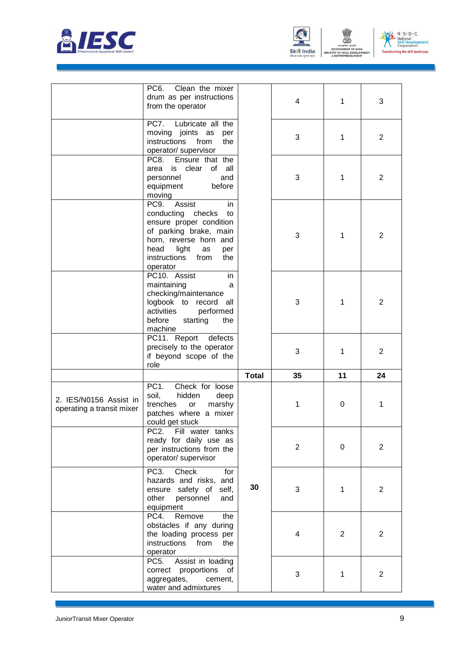





|                                                     | Clean the mixer<br>PC <sub>6</sub><br>drum as per instructions<br>from the operator                                                                                                                     |              | 4              | 1              | 3              |
|-----------------------------------------------------|---------------------------------------------------------------------------------------------------------------------------------------------------------------------------------------------------------|--------------|----------------|----------------|----------------|
|                                                     | PC7. Lubricate all the<br>moving joints as<br>per<br>instructions<br>from<br>the<br>operator/ supervisor                                                                                                |              | 3              | 1              | $\overline{2}$ |
|                                                     | Ensure that the<br>PC8.<br>is clear<br>of all<br>area<br>and<br>personnel<br>before<br>equipment<br>moving                                                                                              |              | 3              | 1              | $\overline{2}$ |
|                                                     | Assist<br>PC9.<br>in<br>conducting checks<br>to<br>ensure proper condition<br>of parking brake, main<br>horn, reverse horn and<br>head<br>light<br>as<br>per<br>instructions<br>from<br>the<br>operator |              | 3              | 1              | $\overline{2}$ |
|                                                     | PC10. Assist<br>in<br>maintaining<br>a<br>checking/maintenance<br>logbook to record<br>all<br>activities<br>performed<br>before<br>starting<br>the<br>machine                                           |              | 3              | 1              | 2              |
|                                                     | PC11. Report defects<br>precisely to the operator<br>if beyond scope of the<br>role                                                                                                                     |              | 3              | 1              | $\overline{2}$ |
|                                                     |                                                                                                                                                                                                         | <b>Total</b> | 35             | 11             | 24             |
| 2. IES/N0156 Assist in<br>operating a transit mixer | PC <sub>1</sub><br>Check for loose<br>soil,<br>hidden<br>deep<br>trenches<br>marshy<br>or<br>patches where a mixer<br>could get stuck                                                                   |              | 1              | 0              | 1              |
|                                                     | Fill water tanks<br>PC2.<br>ready for daily use as<br>per instructions from the<br>operator/ supervisor                                                                                                 |              | $\overline{2}$ | 0              | $\overline{2}$ |
|                                                     | Check<br>PC <sub>3</sub> .<br>for<br>hazards and risks, and<br>ensure safety of self,<br>other<br>personnel<br>and<br>equipment                                                                         | 30           | 3              | 1              | 2              |
|                                                     | Remove<br>PC4.<br>the<br>obstacles if any during<br>the loading process per<br>instructions<br>from<br>the<br>operator                                                                                  |              | 4              | $\overline{2}$ | $\overline{2}$ |
|                                                     | PC <sub>5</sub> .<br>Assist in loading<br>correct proportions of                                                                                                                                        |              | 3              | 1              | $\overline{2}$ |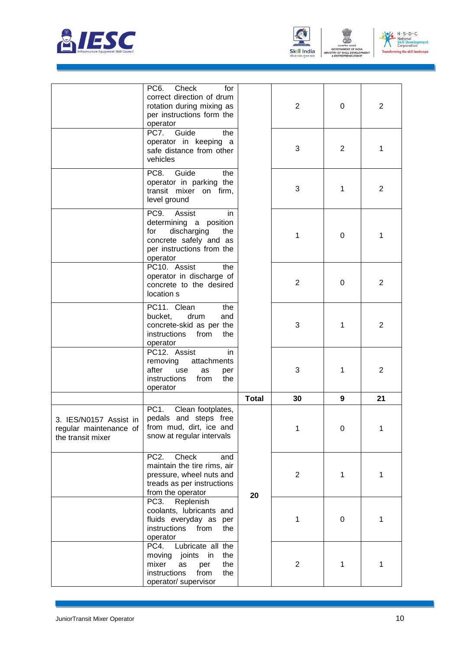





|                                                                       | PC <sub>6</sub> .<br>Check<br>for<br>correct direction of drum<br>rotation during mixing as<br>per instructions form the<br>operator            |              | $\overline{2}$ | 0              | $\overline{2}$ |
|-----------------------------------------------------------------------|-------------------------------------------------------------------------------------------------------------------------------------------------|--------------|----------------|----------------|----------------|
|                                                                       | PC7.<br>Guide<br>the<br>operator in keeping a<br>safe distance from other<br>vehicles                                                           |              | 3              | $\overline{2}$ | 1              |
|                                                                       | PC8.<br>Guide<br>the<br>operator in parking the<br>transit mixer on firm,<br>level ground                                                       |              | 3              | 1              | $\overline{2}$ |
|                                                                       | PC9.<br>Assist<br>in.<br>determining a position<br>for<br>discharging<br>the<br>concrete safely and as<br>per instructions from the<br>operator |              | 1              | 0              | 1              |
|                                                                       | PC10. Assist<br>the<br>operator in discharge of<br>concrete to the desired<br>location s                                                        |              | $\overline{2}$ | 0              | 2              |
|                                                                       | PC11. Clean<br>the<br>bucket,<br>drum<br>and<br>concrete-skid as per the<br>instructions<br>from<br>the<br>operator                             |              | 3              | 1              | $\overline{2}$ |
|                                                                       | PC12. Assist<br>in.<br>removing<br>attachments<br>after<br>use<br>as<br>per<br>instructions<br>from<br>the<br>operator                          |              | 3              | 1              | 2              |
|                                                                       |                                                                                                                                                 | <b>Total</b> | 30             | 9              | 21             |
| 3. IES/N0157 Assist in<br>regular maintenance of<br>the transit mixer | PC <sub>1</sub> .<br>Clean footplates,<br>pedals and steps free<br>from mud, dirt, ice and<br>snow at regular intervals                         |              | 1              | 0              | 1              |
|                                                                       | PC <sub>2</sub> .<br>Check<br>and<br>maintain the tire rims, air<br>pressure, wheel nuts and<br>treads as per instructions<br>from the operator | 20           | $\mathbf{2}$   | 1              | 1              |
|                                                                       | PC <sub>3</sub> .<br>Replenish<br>coolants, lubricants and<br>fluids everyday as per<br>instructions<br>from<br>the<br>operator                 |              | 1              | 0              | 1              |
|                                                                       | PC4.<br>Lubricate all the<br>moving<br>joints<br>in<br>the<br>mixer<br>the<br>as<br>per<br>instructions<br>from<br>the<br>operator/ supervisor  |              | $\overline{2}$ | 1              | 1              |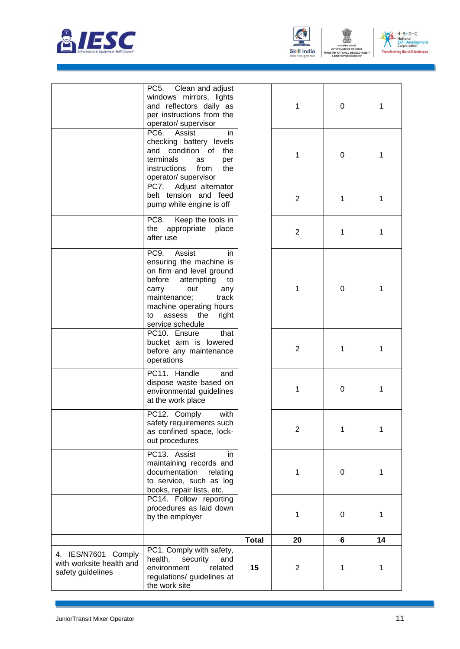





|                                                                      | PC <sub>5</sub> .<br>Clean and adjust<br>windows mirrors, lights<br>and reflectors daily as                                                                                                                                              |              | 1              | 0 | 1           |
|----------------------------------------------------------------------|------------------------------------------------------------------------------------------------------------------------------------------------------------------------------------------------------------------------------------------|--------------|----------------|---|-------------|
|                                                                      | per instructions from the<br>operator/ supervisor<br>PC6.<br>Assist<br>in                                                                                                                                                                |              |                |   |             |
|                                                                      | checking battery levels<br>and condition of<br>the<br>terminals<br>as<br>per<br>instructions<br>from<br>the<br>operator/ supervisor                                                                                                      |              | 1              | 0 | 1           |
|                                                                      | Adjust alternator<br>PC7.<br>belt tension and feed<br>pump while engine is off                                                                                                                                                           |              | $\overline{2}$ | 1 | 1           |
|                                                                      | PC8.<br>Keep the tools in<br>the<br>appropriate place<br>after use                                                                                                                                                                       |              | $\overline{2}$ | 1 | 1           |
|                                                                      | PC9.<br>Assist<br>in<br>ensuring the machine is<br>on firm and level ground<br>before<br>attempting<br>to<br>out<br>carry<br>any<br>maintenance;<br>track<br>machine operating hours<br>assess<br>the<br>right<br>to<br>service schedule |              | 1              | 0 | 1           |
|                                                                      | PC10. Ensure<br>that<br>bucket arm is lowered<br>before any maintenance<br>operations                                                                                                                                                    |              | 2              | 1 | 1           |
|                                                                      | PC11. Handle<br>and<br>dispose waste based on<br>environmental guidelines<br>at the work place                                                                                                                                           |              | 1              | 0 | 1           |
|                                                                      | with<br>PC12. Comply<br>safety requirements such<br>as confined space, lock-<br>out procedures                                                                                                                                           |              | $\overline{2}$ | 1 | 1           |
|                                                                      | PC13. Assist<br>in<br>maintaining records and<br>documentation<br>relating<br>to service, such as log<br>books, repair lists, etc.                                                                                                       |              | 1              | 0 | 1           |
|                                                                      | PC14. Follow reporting<br>procedures as laid down<br>by the employer                                                                                                                                                                     |              | 1              | 0 | 1           |
|                                                                      |                                                                                                                                                                                                                                          | <b>Total</b> | 20             | 6 | 14          |
| 4. IES/N7601 Comply<br>with worksite health and<br>safety guidelines | PC1. Comply with safety,<br>health,<br>security<br>and<br>environment<br>related<br>regulations/ guidelines at<br>the work site                                                                                                          | 15           | $\overline{2}$ | 1 | $\mathbf 1$ |